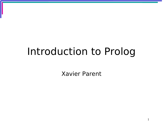# Introduction to Prolog

Xavier Parent

1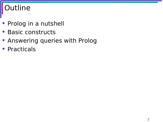## **Dutline**

- Prolog in a nutshell
- Basic constructs
- Answering queries with Prolog
- Practicals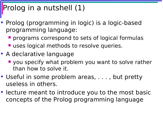## rolog in a nutshell (1)

- Prolog (programming in logic) is a logic-based programming language:
	- **Perograms correspond to sets of logical formulas**
	- **uses logical methods to resolve queries.**
- A declarative language
	- **U** you specify what problem you want to solve rather than how to solve it.
- Useful in some problem areas, ..., but pretty useless in others.
- lecture meant to introduce you to the most basic concepts of the Prolog programming language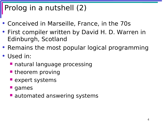## Prolog in a nutshell (2)

- Conceived in Marseille, France, in the 70s
- First compiler written by David H. D. Warren in Edinburgh, Scotland
- Remains the most popular logical programming
- Used in:
	- **natural language processing**
	- **theorem proving**
	- $\blacksquare$  expert systems
	- games
	- **automated answering systems**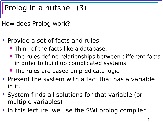## Prolog in a nutshell (3)

How does Prolog work?

- Provide a set of facts and rules.
	- **Think of the facts like a database.**
	- **The rules define relationships between different facts** in order to build up complicated systems.
	- **The rules are based on predicate logic.**
- Present the system with a fact that has a variable in it.
- System finds all solutions for that variable (or multiple variables)
- In this lecture, we use the SWI prolog compiler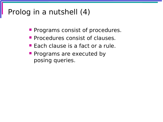### Prolog in a nutshell (4)

- **Programs consist of procedures.**
- **Procedures consist of clauses.**
- **Each clause is a fact or a rule.**
- **Programs are executed by** posing queries.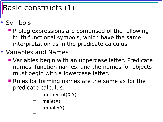### Basic constructs (1)

- Symbols
	- **Prolog expressions are comprised of the following** truth-functional symbols, which have the same interpretation as in the predicate calculus.
- Variables and Names

−

- **Variables begin with an uppercase letter. Predicate** names, function names, and the names for objects must begin with a lowercase letter.
- **Rules for forming names are the same as for the** predicate calculus.
	- mother  $of(X,Y)$
	- $male(X)$
	- female(Y)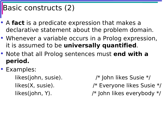#### Basic constructs (2)

- A **fact** is a predicate expression that makes a declarative statement about the problem domain.
- Whenever a variable occurs in a Prolog expression, it is assumed to be **universally quantified**.
- Note that all Prolog sentences must **end with a period.**
- Examples:
	- likes(john, susie). /\* John likes Susie \*/ likes(X, susie).  $\frac{1}{2}$  /\* Everyone likes Susie \*/ likes(john, Y). /\* John likes everybody \*/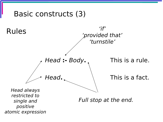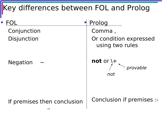# Key differences between FOL and Prolog

|                             | Prolog                                          |
|-----------------------------|-------------------------------------------------|
| Conjunction                 | Comma,                                          |
| <b>Disjunction</b>          | Or condition expressed<br>using two rules       |
| <b>Negation</b>             | not or $\downarrow$ +<br><i>nrovable</i><br>not |
| If premises then conclusion | Conclusion if premises :-                       |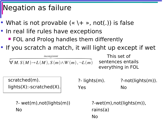### Negation as failure

- What is not provable  $(* \t + \t \cdot, not())$  is false
- In real life rules have exceptions **FOL and Prolog handles them differently**
- If you scratch a match, it will light up except if wet



?- wet(m),not(lights(m)) No

?-wet(m),not(lights(m)), rains(a) No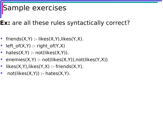### Sample exercises

#### **Ex:** are all these rules syntactically correct?

- friends $(X,Y)$  :- likes $(X,Y)$ , likes $(Y,X)$ .
- left of( $X,Y$ ) :- right of( $Y,X$ )
- hates $(X, Y)$  :- not(likes $(X, Y)$ ).
- enemies $(X,Y)$  :- not(likes $(X,Y)$ ),not(likes $(Y,X)$ ).
- $likes(X,Y), likes(Y,X) friends(X,Y).$
- not(likes $(X,Y)$ ) :- hates $(X,Y)$ .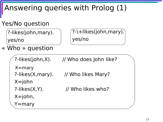## Answering queries with Prolog (1)

#### Yes/No question

?-likes(john,mary). yes/no

```
?-\+likes(john,mary).
yes/no
```
« Who » question

```
 
X=john
?-likes(X, Y).
へ<br>、
?-likes(john,X). // Who does John like?
?-likes(X,mary). // Who likes Mary?
                     // Who likes who?
X=john,
Y=mary
X=mary
```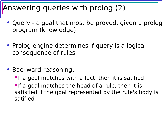#### nswering queries with prolog (2)

- Query a goal that most be proved, given a prolog program (knowledge)
- Prolog engine determines if query is a logical consequence of rules
- Backward reasoning:
	- $\blacksquare$ If a goal matches with a fact, then it is satified  $\blacksquare$ If a goal matches the head of a rule, then it is satisfied if the goal represented by the rule's body is satified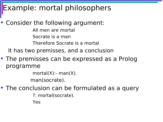#### Example: mortal philosophers

• Consider the following argument: All men are mortal Socrate is a man Therefore Socrate is a mortal It has two premisses, and a conclusion

• The premisses can be expressed as a Prolog programme

 $mortal(X)$ :- man $(X)$ .

man(socrate).

• The conclusion can be formulated as a query ?: mortal(socrate). Yes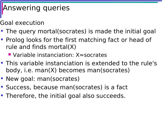## Answering queries

Goal execution

- The query mortal(socrates) is made the initial goal
- Prolog looks for the first matching fact or head of rule and finds mortal(X)

■ Variable instanciation: X=socrates

- This variable instanciation is extended to the rule's body, i.e. man(X) becomes man(socrates)
- New goal: man(socrates)
- Success, because man(socrates) is a fact
- Therefore, the initial goal also succeeds.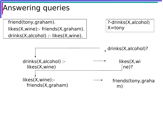Answering queries

friend(tony,graham). likes(X,wine):- friends(X,graham). drinks(X,alcohol) :- likes(X,wine).

```
?-drinks(X,alcohol)
X =tony
```
drinks(X,alcohol)? drinks(X,alcohol) : likes(X,wine) likes(X,wi ne)? likes(X,wine): friends(X,graham) friends(tony,graha m)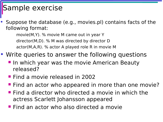#### Sample exercise

• Suppose the database (e.g., movies.pl) contains facts of the following format:

movie(M,Y). % movie M came out in year Y director(M,D). % M was directed by director D actor(M,A,R). % actor A played role R in movie M

- Write queries to answer the following questions
	- **If the which year was the movie American Beauty** released?
	- **Find a movie released in 2002**
	- **Find an actor who appeared in more than one movie?**
	- **Find a director who directed a movie in which the** actress Scarlett Johansson appeared
	- **Find an actor who also directed a movie**